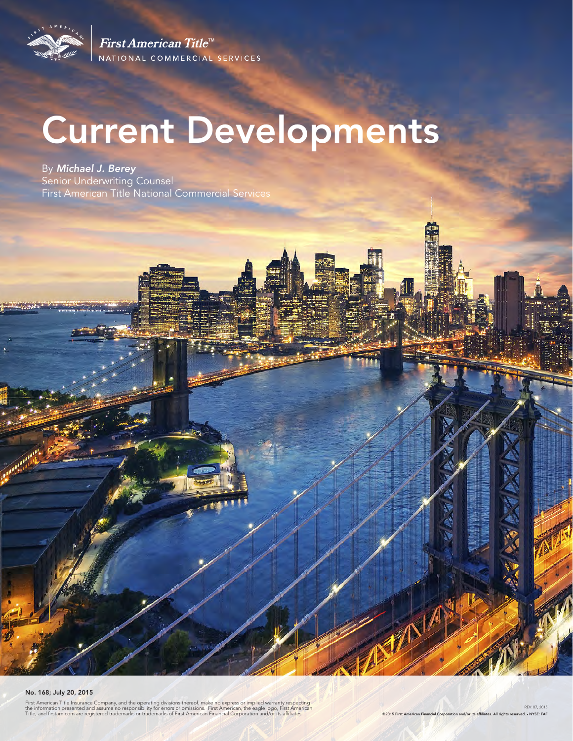

First American Title<sup>™</sup> NATIONAL COMMERCIAL SERVICES

# Current Developments

By *Michael J. Berey*  Senior Underwriting Counsel First American Title National Commercial Services

#### No. 168; July 20, 2015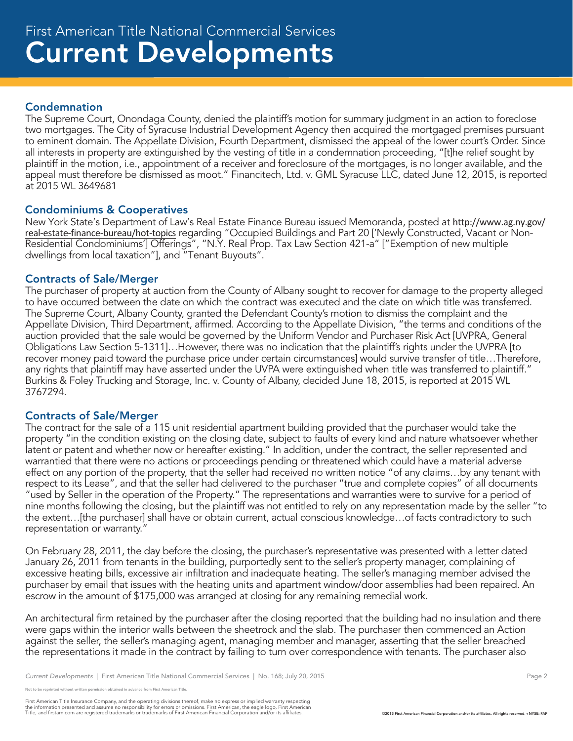#### Condemnation

The Supreme Court, Onondaga County, denied the plaintiff's motion for summary judgment in an action to foreclose two mortgages. The City of Syracuse Industrial Development Agency then acquired the mortgaged premises pursuant to eminent domain. The Appellate Division, Fourth Department, dismissed the appeal of the lower court's Order. Since all interests in property are extinguished by the vesting of title in a condemnation proceeding, "[t]he relief sought by plaintiff in the motion, i.e., appointment of a receiver and foreclosure of the mortgages, is no longer available, and the appeal must therefore be dismissed as moot." Financitech, Ltd. v. GML Syracuse LLC, dated June 12, 2015, is reported at 2015 WL 3649681

#### Condominiums & Cooperatives

New York State's Department of Law's Real Estate Finance Bureau issued Memoranda, posted at http://www.ag.ny.gov/ real-estate-finance-bureau/hot-topics regarding "Occupied Buildings and Part 20 ['Newly Constructed, Vacant or Non-Residential Condominiums'] Offerings", "N.Y. Real Prop. Tax Law Section 421-a" ["Exemption of new multiple dwellings from local taxation"], and "Tenant Buyouts".

#### Contracts of Sale/Merger

The purchaser of property at auction from the County of Albany sought to recover for damage to the property alleged to have occurred between the date on which the contract was executed and the date on which title was transferred. The Supreme Court, Albany County, granted the Defendant County's motion to dismiss the complaint and the Appellate Division, Third Department, affirmed. According to the Appellate Division, "the terms and conditions of the auction provided that the sale would be governed by the Uniform Vendor and Purchaser Risk Act [UVPRA, General Obligations Law Section 5-1311]…However, there was no indication that the plaintiff's rights under the UVPRA [to recover money paid toward the purchase price under certain circumstances] would survive transfer of title…Therefore, any rights that plaintiff may have asserted under the UVPA were extinguished when title was transferred to plaintiff." Burkins & Foley Trucking and Storage, Inc. v. County of Albany, decided June 18, 2015, is reported at 2015 WL 3767294.

#### Contracts of Sale/Merger

The contract for the sale of a 115 unit residential apartment building provided that the purchaser would take the property "in the condition existing on the closing date, subject to faults of every kind and nature whatsoever whether latent or patent and whether now or hereafter existing." In addition, under the contract, the seller represented and warrantied that there were no actions or proceedings pending or threatened which could have a material adverse effect on any portion of the property, that the seller had received no written notice "of any claims…by any tenant with respect to its Lease", and that the seller had delivered to the purchaser "true and complete copies" of all documents "used by Seller in the operation of the Property." The representations and warranties were to survive for a period of nine months following the closing, but the plaintiff was not entitled to rely on any representation made by the seller "to the extent…[the purchaser] shall have or obtain current, actual conscious knowledge…of facts contradictory to such representation or warranty."

On February 28, 2011, the day before the closing, the purchaser's representative was presented with a letter dated January 26, 2011 from tenants in the building, purportedly sent to the seller's property manager, complaining of excessive heating bills, excessive air infiltration and inadequate heating. The seller's managing member advised the purchaser by email that issues with the heating units and apartment window/door assemblies had been repaired. An escrow in the amount of \$175,000 was arranged at closing for any remaining remedial work.

An architectural firm retained by the purchaser after the closing reported that the building had no insulation and there were gaps within the interior walls between the sheetrock and the slab. The purchaser then commenced an Action against the seller, the seller's managing agent, managing member and manager, asserting that the seller breached the representations it made in the contract by failing to turn over correspondence with tenants. The purchaser also

reprinted without written permission obtained in advance from First American Title.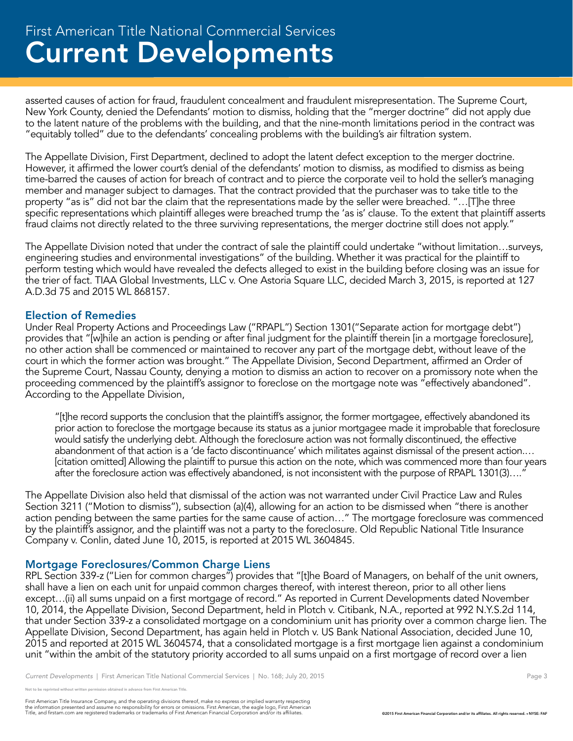## Current Developments First American Title National Commercial Services

asserted causes of action for fraud, fraudulent concealment and fraudulent misrepresentation. The Supreme Court, New York County, denied the Defendants' motion to dismiss, holding that the "merger doctrine" did not apply due to the latent nature of the problems with the building, and that the nine-month limitations period in the contract was "equitably tolled" due to the defendants' concealing problems with the building's air filtration system.

The Appellate Division, First Department, declined to adopt the latent defect exception to the merger doctrine. However, it affirmed the lower court's denial of the defendants' motion to dismiss, as modified to dismiss as being time-barred the causes of action for breach of contract and to pierce the corporate veil to hold the seller's managing member and manager subject to damages. That the contract provided that the purchaser was to take title to the property "as is" did not bar the claim that the representations made by the seller were breached. "…[T]he three specific representations which plaintiff alleges were breached trump the 'as is' clause. To the extent that plaintiff asserts fraud claims not directly related to the three surviving representations, the merger doctrine still does not apply."

The Appellate Division noted that under the contract of sale the plaintiff could undertake "without limitation…surveys, engineering studies and environmental investigations" of the building. Whether it was practical for the plaintiff to perform testing which would have revealed the defects alleged to exist in the building before closing was an issue for the trier of fact. TIAA Global Investments, LLC v. One Astoria Square LLC, decided March 3, 2015, is reported at 127 A.D.3d 75 and 2015 WL 868157.

#### Election of Remedies

Under Real Property Actions and Proceedings Law ("RPAPL") Section 1301("Separate action for mortgage debt") provides that "[w]hile an action is pending or after final judgment for the plaintiff therein [in a mortgage foreclosure], no other action shall be commenced or maintained to recover any part of the mortgage debt, without leave of the court in which the former action was brought." The Appellate Division, Second Department, affirmed an Order of the Supreme Court, Nassau County, denying a motion to dismiss an action to recover on a promissory note when the proceeding commenced by the plaintiff's assignor to foreclose on the mortgage note was "effectively abandoned". According to the Appellate Division,

"[t]he record supports the conclusion that the plaintiff's assignor, the former mortgagee, effectively abandoned its prior action to foreclose the mortgage because its status as a junior mortgagee made it improbable that foreclosure would satisfy the underlying debt. Although the foreclosure action was not formally discontinued, the effective abandonment of that action is a 'de facto discontinuance' which militates against dismissal of the present action.… [citation omitted] Allowing the plaintiff to pursue this action on the note, which was commenced more than four years after the foreclosure action was effectively abandoned, is not inconsistent with the purpose of RPAPL 1301(3)....'

The Appellate Division also held that dismissal of the action was not warranted under Civil Practice Law and Rules Section 3211 ("Motion to dismiss"), subsection (a)(4), allowing for an action to be dismissed when "there is another action pending between the same parties for the same cause of action…" The mortgage foreclosure was commenced by the plaintiff's assignor, and the plaintiff was not a party to the foreclosure. Old Republic National Title Insurance Company v. Conlin, dated June 10, 2015, is reported at 2015 WL 3604845.

#### Mortgage Foreclosures/Common Charge Liens

RPL Section 339-z ("Lien for common charges") provides that "[t]he Board of Managers, on behalf of the unit owners, shall have a lien on each unit for unpaid common charges thereof, with interest thereon, prior to all other liens except…(ii) all sums unpaid on a first mortgage of record." As reported in Current Developments dated November 10, 2014, the Appellate Division, Second Department, held in Plotch v. Citibank, N.A., reported at 992 N.Y.S.2d 114, that under Section 339-z a consolidated mortgage on a condominium unit has priority over a common charge lien. The Appellate Division, Second Department, has again held in Plotch v. US Bank National Association, decided June 10, 2015 and reported at 2015 WL 3604574, that a consolidated mortgage is a first mortgage lien against a condominium unit "within the ambit of the statutory priority accorded to all sums unpaid on a first mortgage of record over a lien

reprinted without written permission obtained in advance from First American Title.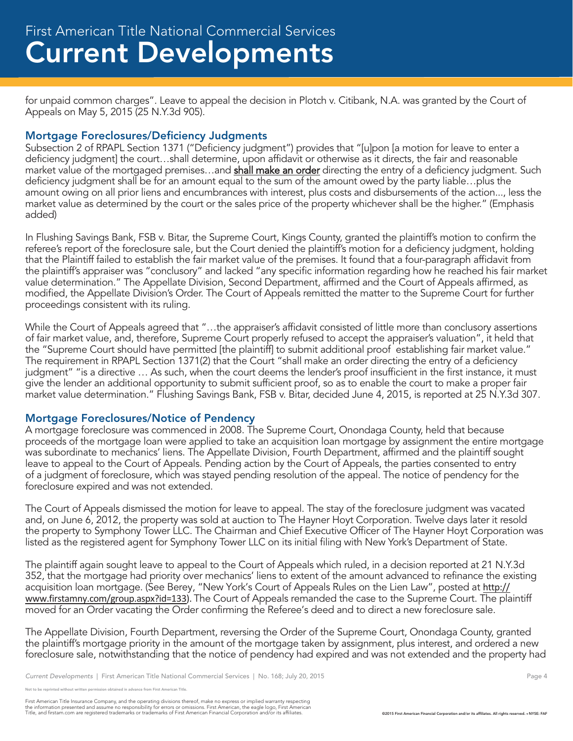for unpaid common charges". Leave to appeal the decision in Plotch v. Citibank, N.A. was granted by the Court of Appeals on May 5, 2015 (25 N.Y.3d 905).

#### Mortgage Foreclosures/Deficiency Judgments

Subsection 2 of RPAPL Section 1371 ("Deficiency judgment") provides that "[u]pon [a motion for leave to enter a deficiency judgment] the court…shall determine, upon affidavit or otherwise as it directs, the fair and reasonable market value of the mortgaged premises...and shall make an order directing the entry of a deficiency judgment. Such deficiency judgment shall be for an amount equal to the sum of the amount owed by the party liable…plus the amount owing on all prior liens and encumbrances with interest, plus costs and disbursements of the action..., less the market value as determined by the court or the sales price of the property whichever shall be the higher." (Emphasis added)

In Flushing Savings Bank, FSB v. Bitar, the Supreme Court, Kings County, granted the plaintiff's motion to confirm the referee's report of the foreclosure sale, but the Court denied the plaintiff's motion for a deficiency judgment, holding that the Plaintiff failed to establish the fair market value of the premises. It found that a four-paragraph affidavit from the plaintiff's appraiser was "conclusory" and lacked "any specific information regarding how he reached his fair market value determination." The Appellate Division, Second Department, affirmed and the Court of Appeals affirmed, as modified, the Appellate Division's Order. The Court of Appeals remitted the matter to the Supreme Court for further proceedings consistent with its ruling.

While the Court of Appeals agreed that "…the appraiser's affidavit consisted of little more than conclusory assertions of fair market value, and, therefore, Supreme Court properly refused to accept the appraiser's valuation", it held that the "Supreme Court should have permitted [the plaintiff] to submit additional proof establishing fair market value." The requirement in RPAPL Section 1371(2) that the Court "shall make an order directing the entry of a deficiency judgment" "is a directive … As such, when the court deems the lender's proof insufficient in the first instance, it must give the lender an additional opportunity to submit sufficient proof, so as to enable the court to make a proper fair market value determination." Flushing Savings Bank, FSB v. Bitar, decided June 4, 2015, is reported at 25 N.Y.3d 307.

#### Mortgage Foreclosures/Notice of Pendency

A mortgage foreclosure was commenced in 2008. The Supreme Court, Onondaga County, held that because proceeds of the mortgage loan were applied to take an acquisition loan mortgage by assignment the entire mortgage was subordinate to mechanics' liens. The Appellate Division, Fourth Department, affirmed and the plaintiff sought leave to appeal to the Court of Appeals. Pending action by the Court of Appeals, the parties consented to entry of a judgment of foreclosure, which was stayed pending resolution of the appeal. The notice of pendency for the foreclosure expired and was not extended.

The Court of Appeals dismissed the motion for leave to appeal. The stay of the foreclosure judgment was vacated and, on June 6, 2012, the property was sold at auction to The Hayner Hoyt Corporation. Twelve days later it resold the property to Symphony Tower LLC. The Chairman and Chief Executive Officer of The Hayner Hoyt Corporation was listed as the registered agent for Symphony Tower LLC on its initial filing with New York's Department of State.

The plaintiff again sought leave to appeal to the Court of Appeals which ruled, in a decision reported at 21 N.Y.3d 352, that the mortgage had priority over mechanics' liens to extent of the amount advanced to refinance the existing acquisition loan mortgage. (See Berey, "New York's Court of Appeals Rules on the Lien Law", posted at http:// www.firstamny.com/group.aspx?id=133). The Court of Appeals remanded the case to the Supreme Court. The plaintiff moved for an Order vacating the Order confirming the Referee's deed and to direct a new foreclosure sale.

The Appellate Division, Fourth Department, reversing the Order of the Supreme Court, Onondaga County, granted the plaintiff's mortgage priority in the amount of the mortgage taken by assignment, plus interest, and ordered a new foreclosure sale, notwithstanding that the notice of pendency had expired and was not extended and the property had

reprinted without written permission obtained in advance from First American Title.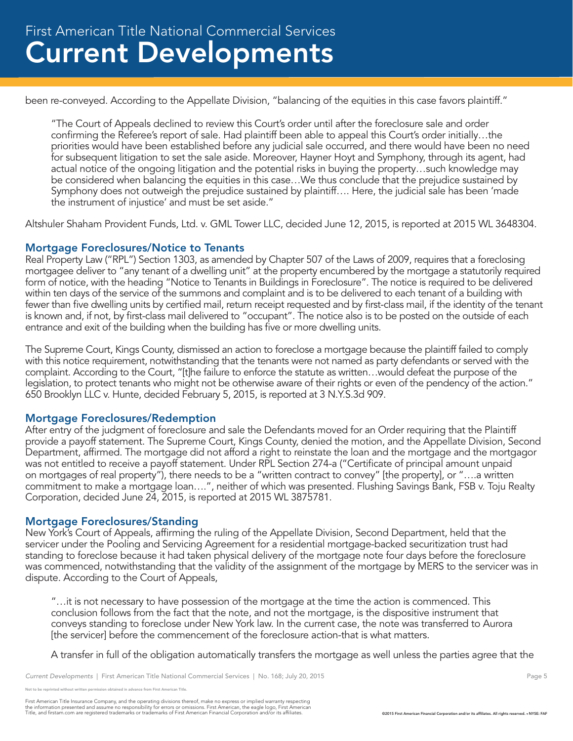been re-conveyed. According to the Appellate Division, "balancing of the equities in this case favors plaintiff."

"The Court of Appeals declined to review this Court's order until after the foreclosure sale and order confirming the Referee's report of sale. Had plaintiff been able to appeal this Court's order initially…the priorities would have been established before any judicial sale occurred, and there would have been no need for subsequent litigation to set the sale aside. Moreover, Hayner Hoyt and Symphony, through its agent, had actual notice of the ongoing litigation and the potential risks in buying the property…such knowledge may be considered when balancing the equities in this case…We thus conclude that the prejudice sustained by Symphony does not outweigh the prejudice sustained by plaintiff…. Here, the judicial sale has been 'made the instrument of injustice' and must be set aside."

Altshuler Shaham Provident Funds, Ltd. v. GML Tower LLC, decided June 12, 2015, is reported at 2015 WL 3648304.

#### Mortgage Foreclosures/Notice to Tenants

Real Property Law ("RPL") Section 1303, as amended by Chapter 507 of the Laws of 2009, requires that a foreclosing mortgagee deliver to "any tenant of a dwelling unit" at the property encumbered by the mortgage a statutorily required form of notice, with the heading "Notice to Tenants in Buildings in Foreclosure". The notice is required to be delivered within ten days of the service of the summons and complaint and is to be delivered to each tenant of a building with fewer than five dwelling units by certified mail, return receipt requested and by first-class mail, if the identity of the tenant is known and, if not, by first-class mail delivered to "occupant". The notice also is to be posted on the outside of each entrance and exit of the building when the building has five or more dwelling units.

The Supreme Court, Kings County, dismissed an action to foreclose a mortgage because the plaintiff failed to comply with this notice requirement, notwithstanding that the tenants were not named as party defendants or served with the complaint. According to the Court, "[t]he failure to enforce the statute as written…would defeat the purpose of the legislation, to protect tenants who might not be otherwise aware of their rights or even of the pendency of the action." 650 Brooklyn LLC v. Hunte, decided February 5, 2015, is reported at 3 N.Y.S.3d 909.

#### Mortgage Foreclosures/Redemption

After entry of the judgment of foreclosure and sale the Defendants moved for an Order requiring that the Plaintiff provide a payoff statement. The Supreme Court, Kings County, denied the motion, and the Appellate Division, Second Department, affirmed. The mortgage did not afford a right to reinstate the loan and the mortgage and the mortgagor was not entitled to receive a payoff statement. Under RPL Section 274-a ("Certificate of principal amount unpaid on mortgages of real property"), there needs to be a "written contract to convey" [the property], or "….a written commitment to make a mortgage loan….", neither of which was presented. Flushing Savings Bank, FSB v. Toju Realty Corporation, decided June 24, 2015, is reported at 2015 WL 3875781.

#### Mortgage Foreclosures/Standing

New York's Court of Appeals, affirming the ruling of the Appellate Division, Second Department, held that the servicer under the Pooling and Servicing Agreement for a residential mortgage-backed securitization trust had standing to foreclose because it had taken physical delivery of the mortgage note four days before the foreclosure was commenced, notwithstanding that the validity of the assignment of the mortgage by MERS to the servicer was in dispute. According to the Court of Appeals,

"…it is not necessary to have possession of the mortgage at the time the action is commenced. This conclusion follows from the fact that the note, and not the mortgage, is the dispositive instrument that conveys standing to foreclose under New York law. In the current case, the note was transferred to Aurora [the servicer] before the commencement of the foreclosure action-that is what matters.

A transfer in full of the obligation automatically transfers the mortgage as well unless the parties agree that the

.<br>Note reprinted without written permission obtained in advance from First American Title.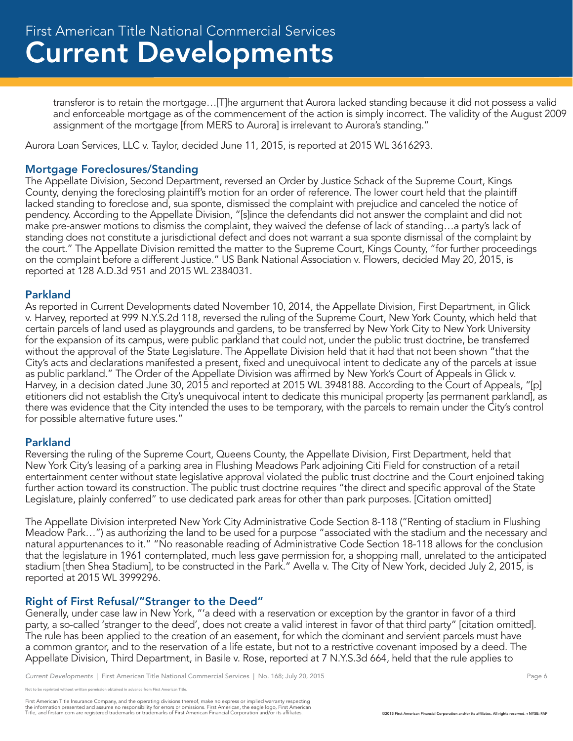transferor is to retain the mortgage…[T]he argument that Aurora lacked standing because it did not possess a valid and enforceable mortgage as of the commencement of the action is simply incorrect. The validity of the August 2009 assignment of the mortgage [from MERS to Aurora] is irrelevant to Aurora's standing."

Aurora Loan Services, LLC v. Taylor, decided June 11, 2015, is reported at 2015 WL 3616293.

#### Mortgage Foreclosures/Standing

The Appellate Division, Second Department, reversed an Order by Justice Schack of the Supreme Court, Kings County, denying the foreclosing plaintiff's motion for an order of reference. The lower court held that the plaintiff lacked standing to foreclose and, sua sponte, dismissed the complaint with prejudice and canceled the notice of pendency. According to the Appellate Division, "[s]ince the defendants did not answer the complaint and did not make pre-answer motions to dismiss the complaint, they waived the defense of lack of standing…a party's lack of standing does not constitute a jurisdictional defect and does not warrant a sua sponte dismissal of the complaint by the court." The Appellate Division remitted the matter to the Supreme Court, Kings County, "for further proceedings on the complaint before a different Justice." US Bank National Association v. Flowers, decided May 20, 2015, is reported at 128 A.D.3d 951 and 2015 WL 2384031.

#### Parkland

As reported in Current Developments dated November 10, 2014, the Appellate Division, First Department, in Glick v. Harvey, reported at 999 N.Y.S.2d 118, reversed the ruling of the Supreme Court, New York County, which held that certain parcels of land used as playgrounds and gardens, to be transferred by New York City to New York University for the expansion of its campus, were public parkland that could not, under the public trust doctrine, be transferred without the approval of the State Legislature. The Appellate Division held that it had that not been shown "that the City's acts and declarations manifested a present, fixed and unequivocal intent to dedicate any of the parcels at issue as public parkland." The Order of the Appellate Division was affirmed by New York's Court of Appeals in Glick v. Harvey, in a decision dated June 30, 2015 and reported at 2015 WL 3948188. According to the Court of Appeals, "[p] etitioners did not establish the City's unequivocal intent to dedicate this municipal property [as permanent parkland], as there was evidence that the City intended the uses to be temporary, with the parcels to remain under the City's control for possible alternative future uses."

#### Parkland

Reversing the ruling of the Supreme Court, Queens County, the Appellate Division, First Department, held that New York City's leasing of a parking area in Flushing Meadows Park adjoining Citi Field for construction of a retail entertainment center without state legislative approval violated the public trust doctrine and the Court enjoined taking further action toward its construction. The public trust doctrine requires "the direct and specific approval of the State Legislature, plainly conferred" to use dedicated park areas for other than park purposes. [Citation omitted]

The Appellate Division interpreted New York City Administrative Code Section 8-118 ("Renting of stadium in Flushing Meadow Park…") as authorizing the land to be used for a purpose "associated with the stadium and the necessary and natural appurtenances to it." "No reasonable reading of Administrative Code Section 18-118 allows for the conclusion that the legislature in 1961 contemplated, much less gave permission for, a shopping mall, unrelated to the anticipated stadium [then Shea Stadium], to be constructed in the Park." Avella v. The City of New York, decided July 2, 2015, is reported at 2015 WL 3999296.

#### Right of First Refusal/"Stranger to the Deed"

Generally, under case law in New York, "'a deed with a reservation or exception by the grantor in favor of a third party, a so-called 'stranger to the deed', does not create a valid interest in favor of that third party" [citation omitted]. The rule has been applied to the creation of an easement, for which the dominant and servient parcels must have a common grantor, and to the reservation of a life estate, but not to a restrictive covenant imposed by a deed. The Appellate Division, Third Department, in Basile v. Rose, reported at 7 N.Y.S.3d 664, held that the rule applies to

reprinted without written permission obtained in advance from First American Title.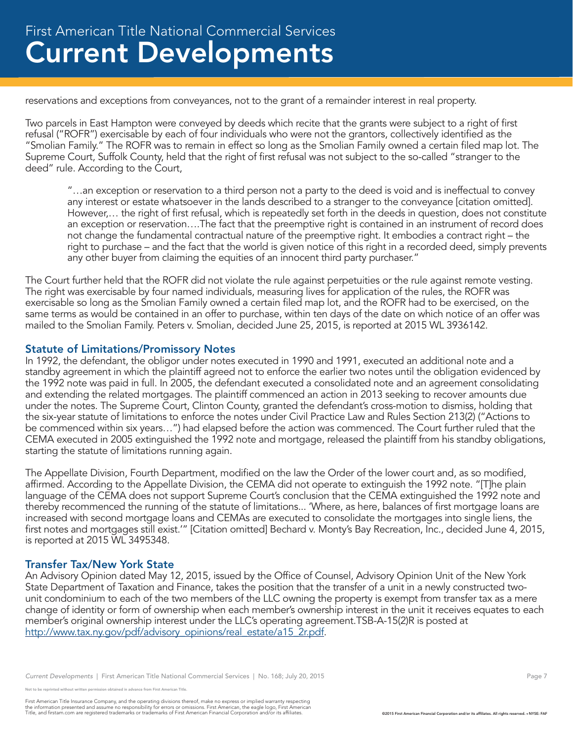reservations and exceptions from conveyances, not to the grant of a remainder interest in real property.

Two parcels in East Hampton were conveyed by deeds which recite that the grants were subject to a right of first refusal ("ROFR") exercisable by each of four individuals who were not the grantors, collectively identified as the "Smolian Family." The ROFR was to remain in effect so long as the Smolian Family owned a certain filed map lot. The Supreme Court, Suffolk County, held that the right of first refusal was not subject to the so-called "stranger to the deed" rule. According to the Court,

"…an exception or reservation to a third person not a party to the deed is void and is ineffectual to convey any interest or estate whatsoever in the lands described to a stranger to the conveyance [citation omitted]. However,… the right of first refusal, which is repeatedly set forth in the deeds in question, does not constitute an exception or reservation….The fact that the preemptive right is contained in an instrument of record does not change the fundamental contractual nature of the preemptive right. It embodies a contract right – the right to purchase – and the fact that the world is given notice of this right in a recorded deed, simply prevents any other buyer from claiming the equities of an innocent third party purchaser."

The Court further held that the ROFR did not violate the rule against perpetuities or the rule against remote vesting. The right was exercisable by four named individuals, measuring lives for application of the rules, the ROFR was exercisable so long as the Smolian Family owned a certain filed map lot, and the ROFR had to be exercised, on the same terms as would be contained in an offer to purchase, within ten days of the date on which notice of an offer was mailed to the Smolian Family. Peters v. Smolian, decided June 25, 2015, is reported at 2015 WL 3936142.

#### Statute of Limitations/Promissory Notes

In 1992, the defendant, the obligor under notes executed in 1990 and 1991, executed an additional note and a standby agreement in which the plaintiff agreed not to enforce the earlier two notes until the obligation evidenced by the 1992 note was paid in full. In 2005, the defendant executed a consolidated note and an agreement consolidating and extending the related mortgages. The plaintiff commenced an action in 2013 seeking to recover amounts due under the notes. The Supreme Court, Clinton County, granted the defendant's cross-motion to dismiss, holding that the six-year statute of limitations to enforce the notes under Civil Practice Law and Rules Section 213(2) ("Actions to be commenced within six years…") had elapsed before the action was commenced. The Court further ruled that the CEMA executed in 2005 extinguished the 1992 note and mortgage, released the plaintiff from his standby obligations, starting the statute of limitations running again.

The Appellate Division, Fourth Department, modified on the law the Order of the lower court and, as so modified, affirmed. According to the Appellate Division, the CEMA did not operate to extinguish the 1992 note. "[T]he plain language of the CEMA does not support Supreme Court's conclusion that the CEMA extinguished the 1992 note and thereby recommenced the running of the statute of limitations... 'Where, as here, balances of first mortgage loans are increased with second mortgage loans and CEMAs are executed to consolidate the mortgages into single liens, the first notes and mortgages still exist.'" [Citation omitted] Bechard v. Monty's Bay Recreation, Inc., decided June 4, 2015, is reported at 2015 WL 3495348.

#### Transfer Tax/New York State

An Advisory Opinion dated May 12, 2015, issued by the Office of Counsel, Advisory Opinion Unit of the New York State Department of Taxation and Finance, takes the position that the transfer of a unit in a newly constructed twounit condominium to each of the two members of the LLC owning the property is exempt from transfer tax as a mere change of identity or form of ownership when each member's ownership interest in the unit it receives equates to each member's original ownership interest under the LLC's operating agreement.TSB-A-15(2)R is posted at http://www.tax.ny.gov/pdf/advisory\_opinions/real\_estate/a15\_2r.pdf.

*Current Developments* | First American Title National Commercial Services | No. 168; July 20, 2015 **Page 7** Page 7

e reprinted without written permission obtained in advance from First American Title.